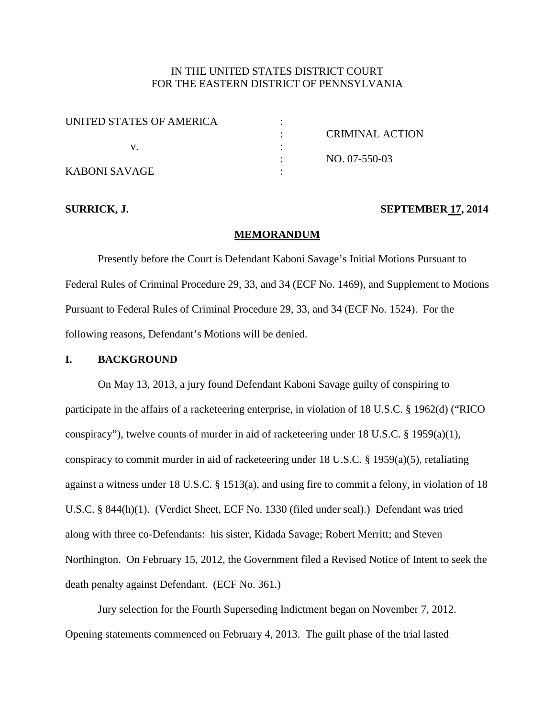# IN THE UNITED STATES DISTRICT COURT FOR THE EASTERN DISTRICT OF PENNSYLVANIA

| UNITED STATES OF AMERICA |                 |
|--------------------------|-----------------|
|                          | CRIMINAL ACTION |
|                          |                 |
|                          | NO. 07-550-03   |
| KABONI SAVAGE            |                 |

## **SURRICK, J. SEPTEMBER 17, 2014**

### **MEMORANDUM**

Presently before the Court is Defendant Kaboni Savage's Initial Motions Pursuant to Federal Rules of Criminal Procedure 29, 33, and 34 (ECF No. 1469), and Supplement to Motions Pursuant to Federal Rules of Criminal Procedure 29, 33, and 34 (ECF No. 1524). For the following reasons, Defendant's Motions will be denied.

# **I. BACKGROUND**

On May 13, 2013, a jury found Defendant Kaboni Savage guilty of conspiring to participate in the affairs of a racketeering enterprise, in violation of 18 U.S.C. § 1962(d) ("RICO conspiracy"), twelve counts of murder in aid of racketeering under 18 U.S.C. § 1959(a)(1), conspiracy to commit murder in aid of racketeering under 18 U.S.C. § 1959(a)(5), retaliating against a witness under 18 U.S.C. § 1513(a), and using fire to commit a felony, in violation of 18 U.S.C. § 844(h)(1). (Verdict Sheet, ECF No. 1330 (filed under seal).) Defendant was tried along with three co-Defendants: his sister, Kidada Savage; Robert Merritt; and Steven Northington. On February 15, 2012, the Government filed a Revised Notice of Intent to seek the death penalty against Defendant. (ECF No. 361.)

Jury selection for the Fourth Superseding Indictment began on November 7, 2012. Opening statements commenced on February 4, 2013. The guilt phase of the trial lasted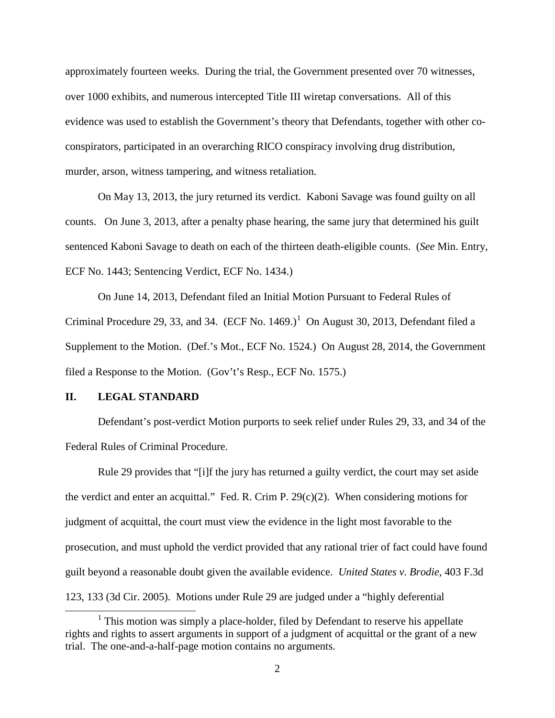approximately fourteen weeks. During the trial, the Government presented over 70 witnesses, over 1000 exhibits, and numerous intercepted Title III wiretap conversations. All of this evidence was used to establish the Government's theory that Defendants, together with other coconspirators, participated in an overarching RICO conspiracy involving drug distribution, murder, arson, witness tampering, and witness retaliation.

On May 13, 2013, the jury returned its verdict. Kaboni Savage was found guilty on all counts. On June 3, 2013, after a penalty phase hearing, the same jury that determined his guilt sentenced Kaboni Savage to death on each of the thirteen death-eligible counts. (*See* Min. Entry, ECF No. 1443; Sentencing Verdict, ECF No. 1434.)

On June 14, 2013, Defendant filed an Initial Motion Pursuant to Federal Rules of Criminal Procedure 29, 33, and 34.  $(ECF No. 1469.)<sup>1</sup>$  $(ECF No. 1469.)<sup>1</sup>$  $(ECF No. 1469.)<sup>1</sup>$  On August 30, 2013, Defendant filed a Supplement to the Motion. (Def.'s Mot., ECF No. 1524.) On August 28, 2014, the Government filed a Response to the Motion. (Gov't's Resp., ECF No. 1575.)

## **II. LEGAL STANDARD**

 $\overline{a}$ 

Defendant's post-verdict Motion purports to seek relief under Rules 29, 33, and 34 of the Federal Rules of Criminal Procedure.

Rule 29 provides that "[i]f the jury has returned a guilty verdict, the court may set aside the verdict and enter an acquittal." Fed. R. Crim P. 29(c)(2). When considering motions for judgment of acquittal, the court must view the evidence in the light most favorable to the prosecution, and must uphold the verdict provided that any rational trier of fact could have found guilt beyond a reasonable doubt given the available evidence. *United States v. Brodie*, 403 F.3d 123, 133 (3d Cir. 2005). Motions under Rule 29 are judged under a "highly deferential

<span id="page-1-0"></span> $<sup>1</sup>$  This motion was simply a place-holder, filed by Defendant to reserve his appellate</sup> rights and rights to assert arguments in support of a judgment of acquittal or the grant of a new trial. The one-and-a-half-page motion contains no arguments.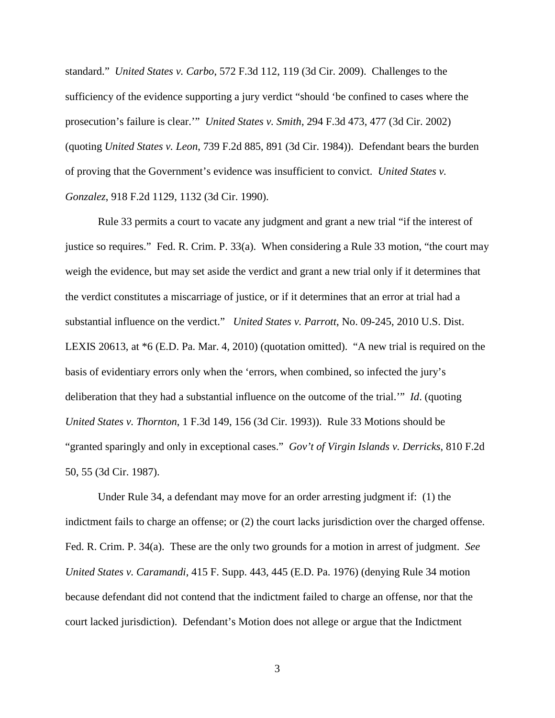standard." *United States v. Carbo*, 572 F.3d 112, 119 (3d Cir. 2009). Challenges to the sufficiency of the evidence supporting a jury verdict "should 'be confined to cases where the prosecution's failure is clear.'" *United States v. Smith*, 294 F.3d 473, 477 (3d Cir. 2002) (quoting *United States v. Leon*, 739 F.2d 885, 891 (3d Cir. 1984)). Defendant bears the burden of proving that the Government's evidence was insufficient to convict. *United States v. Gonzalez*, 918 F.2d 1129, 1132 (3d Cir. 1990).

Rule 33 permits a court to vacate any judgment and grant a new trial "if the interest of justice so requires." Fed. R. Crim. P. 33(a). When considering a Rule 33 motion, "the court may weigh the evidence, but may set aside the verdict and grant a new trial only if it determines that the verdict constitutes a miscarriage of justice, or if it determines that an error at trial had a substantial influence on the verdict." *United States v. Parrott*, No. 09-245, 2010 U.S. Dist. LEXIS 20613, at \*6 (E.D. Pa. Mar. 4, 2010) (quotation omitted). "A new trial is required on the basis of evidentiary errors only when the 'errors, when combined, so infected the jury's deliberation that they had a substantial influence on the outcome of the trial.'" *Id*. (quoting *United States v. Thornton*, 1 F.3d 149, 156 (3d Cir. 1993)). Rule 33 Motions should be "granted sparingly and only in exceptional cases." *Gov't of Virgin Islands v. Derricks*, 810 F.2d 50, 55 (3d Cir. 1987).

Under Rule 34, a defendant may move for an order arresting judgment if: (1) the indictment fails to charge an offense; or (2) the court lacks jurisdiction over the charged offense. Fed. R. Crim. P. 34(a). These are the only two grounds for a motion in arrest of judgment. *See United States v. Caramandi*, 415 F. Supp. 443, 445 (E.D. Pa. 1976) (denying Rule 34 motion because defendant did not contend that the indictment failed to charge an offense, nor that the court lacked jurisdiction). Defendant's Motion does not allege or argue that the Indictment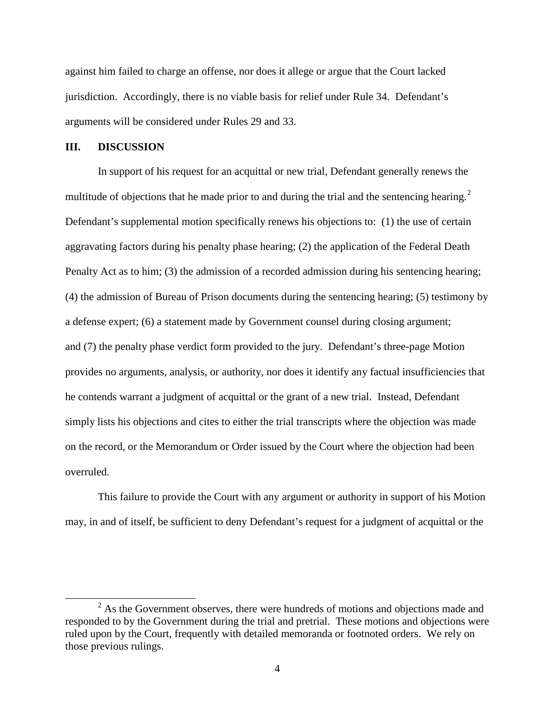against him failed to charge an offense, nor does it allege or argue that the Court lacked jurisdiction. Accordingly, there is no viable basis for relief under Rule 34. Defendant's arguments will be considered under Rules 29 and 33.

## **III. DISCUSSION**

 $\overline{a}$ 

In support of his request for an acquittal or new trial, Defendant generally renews the multitude of objections that he made prior to and during the trial and the sentencing hearing.<sup>[2](#page-3-0)</sup> Defendant's supplemental motion specifically renews his objections to: (1) the use of certain aggravating factors during his penalty phase hearing; (2) the application of the Federal Death Penalty Act as to him; (3) the admission of a recorded admission during his sentencing hearing; (4) the admission of Bureau of Prison documents during the sentencing hearing; (5) testimony by a defense expert; (6) a statement made by Government counsel during closing argument; and (7) the penalty phase verdict form provided to the jury. Defendant's three-page Motion provides no arguments, analysis, or authority, nor does it identify any factual insufficiencies that he contends warrant a judgment of acquittal or the grant of a new trial. Instead, Defendant simply lists his objections and cites to either the trial transcripts where the objection was made on the record, or the Memorandum or Order issued by the Court where the objection had been overruled.

This failure to provide the Court with any argument or authority in support of his Motion may, in and of itself, be sufficient to deny Defendant's request for a judgment of acquittal or the

<span id="page-3-0"></span><sup>&</sup>lt;sup>2</sup> As the Government observes, there were hundreds of motions and objections made and responded to by the Government during the trial and pretrial. These motions and objections were ruled upon by the Court, frequently with detailed memoranda or footnoted orders. We rely on those previous rulings.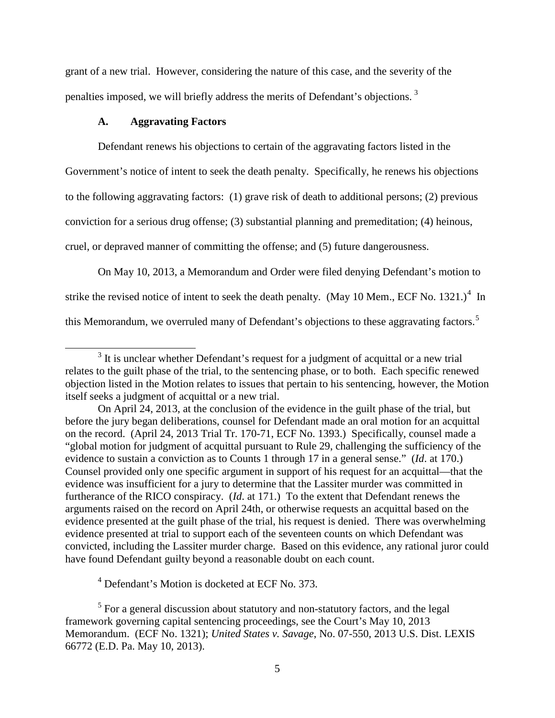grant of a new trial. However, considering the nature of this case, and the severity of the penalties imposed, we will briefly address the merits of Defendant's objections.<sup>[3](#page-4-0)</sup>

## **A. Aggravating Factors**

 $\overline{a}$ 

Defendant renews his objections to certain of the aggravating factors listed in the Government's notice of intent to seek the death penalty. Specifically, he renews his objections to the following aggravating factors: (1) grave risk of death to additional persons; (2) previous conviction for a serious drug offense; (3) substantial planning and premeditation; (4) heinous, cruel, or depraved manner of committing the offense; and (5) future dangerousness.

On May 10, 2013, a Memorandum and Order were filed denying Defendant's motion to strike the revised notice of intent to seek the death penalty. (May 10 Mem., ECF No. 1321.)<sup>[4](#page-4-1)</sup> In this Memorandum, we overruled many of Defendant's objections to these aggravating factors.<sup>[5](#page-4-2)</sup>

 $<sup>4</sup>$  Defendant's Motion is docketed at ECF No. 373.</sup>

<span id="page-4-0"></span> $3$  It is unclear whether Defendant's request for a judgment of acquittal or a new trial relates to the guilt phase of the trial, to the sentencing phase, or to both. Each specific renewed objection listed in the Motion relates to issues that pertain to his sentencing, however, the Motion itself seeks a judgment of acquittal or a new trial.

On April 24, 2013, at the conclusion of the evidence in the guilt phase of the trial, but before the jury began deliberations, counsel for Defendant made an oral motion for an acquittal on the record. (April 24, 2013 Trial Tr. 170-71, ECF No. 1393.) Specifically, counsel made a "global motion for judgment of acquittal pursuant to Rule 29, challenging the sufficiency of the evidence to sustain a conviction as to Counts 1 through 17 in a general sense." (*Id*. at 170.) Counsel provided only one specific argument in support of his request for an acquittal—that the evidence was insufficient for a jury to determine that the Lassiter murder was committed in furtherance of the RICO conspiracy. (*Id*. at 171.) To the extent that Defendant renews the arguments raised on the record on April 24th, or otherwise requests an acquittal based on the evidence presented at the guilt phase of the trial, his request is denied. There was overwhelming evidence presented at trial to support each of the seventeen counts on which Defendant was convicted, including the Lassiter murder charge. Based on this evidence, any rational juror could have found Defendant guilty beyond a reasonable doubt on each count.

<span id="page-4-2"></span><span id="page-4-1"></span><sup>&</sup>lt;sup>5</sup> For a general discussion about statutory and non-statutory factors, and the legal framework governing capital sentencing proceedings, see the Court's May 10, 2013 Memorandum. (ECF No. 1321); *United States v. Savage*, No. 07-550, 2013 U.S. Dist. LEXIS 66772 (E.D. Pa. May 10, 2013).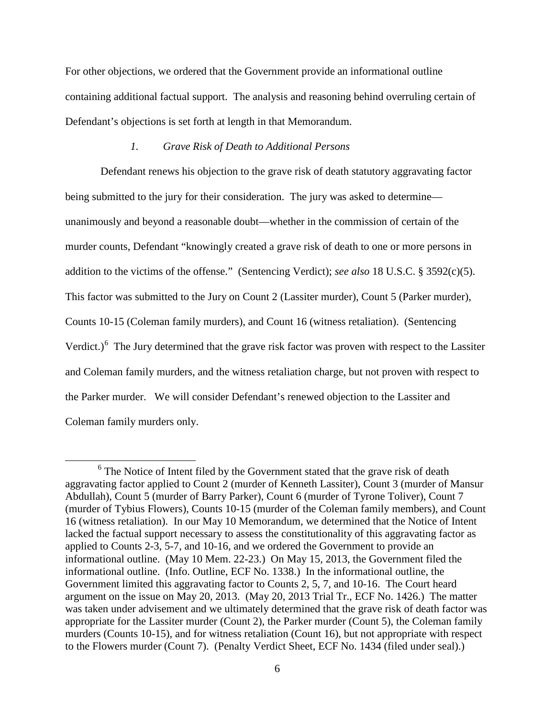For other objections, we ordered that the Government provide an informational outline containing additional factual support. The analysis and reasoning behind overruling certain of Defendant's objections is set forth at length in that Memorandum.

## *1. Grave Risk of Death to Additional Persons*

Defendant renews his objection to the grave risk of death statutory aggravating factor being submitted to the jury for their consideration. The jury was asked to determine unanimously and beyond a reasonable doubt—whether in the commission of certain of the murder counts, Defendant "knowingly created a grave risk of death to one or more persons in addition to the victims of the offense." (Sentencing Verdict); *see also* 18 U.S.C. § 3592(c)(5). This factor was submitted to the Jury on Count 2 (Lassiter murder), Count 5 (Parker murder), Counts 10-15 (Coleman family murders), and Count 16 (witness retaliation). (Sentencing Verdict.)<sup>[6](#page-5-0)</sup> The Jury determined that the grave risk factor was proven with respect to the Lassiter and Coleman family murders, and the witness retaliation charge, but not proven with respect to the Parker murder. We will consider Defendant's renewed objection to the Lassiter and Coleman family murders only.

 $\overline{a}$ 

<span id="page-5-0"></span> $6$  The Notice of Intent filed by the Government stated that the grave risk of death aggravating factor applied to Count 2 (murder of Kenneth Lassiter), Count 3 (murder of Mansur Abdullah), Count 5 (murder of Barry Parker), Count 6 (murder of Tyrone Toliver), Count 7 (murder of Tybius Flowers), Counts 10-15 (murder of the Coleman family members), and Count 16 (witness retaliation). In our May 10 Memorandum, we determined that the Notice of Intent lacked the factual support necessary to assess the constitutionality of this aggravating factor as applied to Counts 2-3, 5-7, and 10-16, and we ordered the Government to provide an informational outline. (May 10 Mem. 22-23.) On May 15, 2013, the Government filed the informational outline. (Info. Outline, ECF No. 1338.) In the informational outline, the Government limited this aggravating factor to Counts 2, 5, 7, and 10-16. The Court heard argument on the issue on May 20, 2013. (May 20, 2013 Trial Tr., ECF No. 1426.) The matter was taken under advisement and we ultimately determined that the grave risk of death factor was appropriate for the Lassiter murder (Count 2), the Parker murder (Count 5), the Coleman family murders (Counts 10-15), and for witness retaliation (Count 16), but not appropriate with respect to the Flowers murder (Count 7). (Penalty Verdict Sheet, ECF No. 1434 (filed under seal).)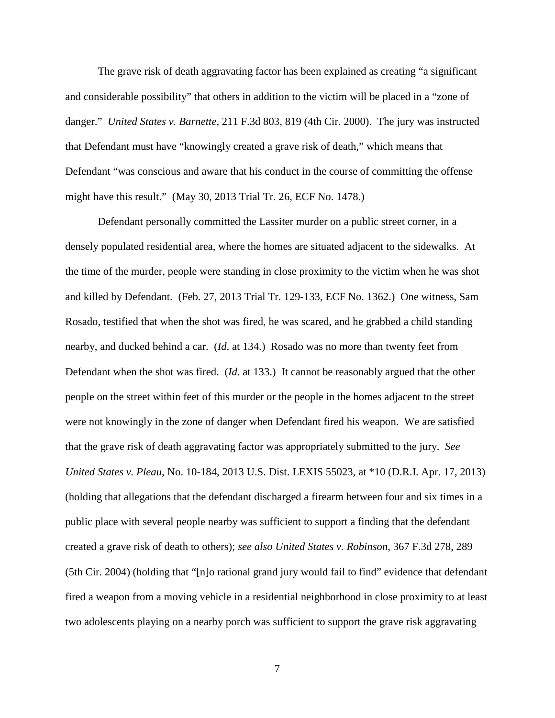The grave risk of death aggravating factor has been explained as creating "a significant and considerable possibility" that others in addition to the victim will be placed in a "zone of danger." *United States v. Barnette*, 211 F.3d 803, 819 (4th Cir. 2000). The jury was instructed that Defendant must have "knowingly created a grave risk of death," which means that Defendant "was conscious and aware that his conduct in the course of committing the offense might have this result." (May 30, 2013 Trial Tr. 26, ECF No. 1478.)

Defendant personally committed the Lassiter murder on a public street corner, in a densely populated residential area, where the homes are situated adjacent to the sidewalks. At the time of the murder, people were standing in close proximity to the victim when he was shot and killed by Defendant. (Feb. 27, 2013 Trial Tr. 129-133, ECF No. 1362.) One witness, Sam Rosado, testified that when the shot was fired, he was scared, and he grabbed a child standing nearby, and ducked behind a car. (*Id*. at 134.) Rosado was no more than twenty feet from Defendant when the shot was fired. (*Id*. at 133.) It cannot be reasonably argued that the other people on the street within feet of this murder or the people in the homes adjacent to the street were not knowingly in the zone of danger when Defendant fired his weapon. We are satisfied that the grave risk of death aggravating factor was appropriately submitted to the jury. *See United States v. Pleau*, No. 10-184, 2013 U.S. Dist. LEXIS 55023, at \*10 (D.R.I. Apr. 17, 2013) (holding that allegations that the defendant discharged a firearm between four and six times in a public place with several people nearby was sufficient to support a finding that the defendant created a grave risk of death to others); *see also United States v. Robinson*, 367 F.3d 278, 289 (5th Cir. 2004) (holding that "[n]o rational grand jury would fail to find" evidence that defendant fired a weapon from a moving vehicle in a residential neighborhood in close proximity to at least two adolescents playing on a nearby porch was sufficient to support the grave risk aggravating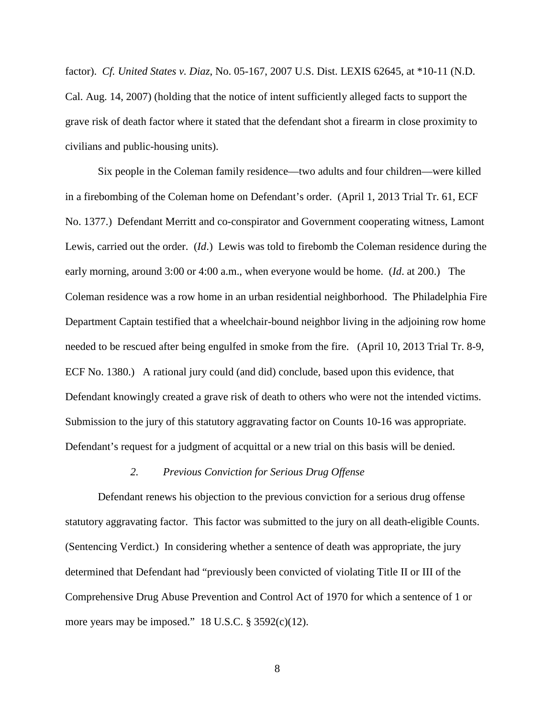factor). *Cf. United States v. Diaz*, No. 05-167, 2007 U.S. Dist. LEXIS 62645, at \*10-11 (N.D. Cal. Aug. 14, 2007) (holding that the notice of intent sufficiently alleged facts to support the grave risk of death factor where it stated that the defendant shot a firearm in close proximity to civilians and public-housing units).

Six people in the Coleman family residence—two adults and four children—were killed in a firebombing of the Coleman home on Defendant's order. (April 1, 2013 Trial Tr. 61, ECF No. 1377.) Defendant Merritt and co-conspirator and Government cooperating witness, Lamont Lewis, carried out the order. (*Id*.) Lewis was told to firebomb the Coleman residence during the early morning, around 3:00 or 4:00 a.m., when everyone would be home. (*Id*. at 200.) The Coleman residence was a row home in an urban residential neighborhood. The Philadelphia Fire Department Captain testified that a wheelchair-bound neighbor living in the adjoining row home needed to be rescued after being engulfed in smoke from the fire. (April 10, 2013 Trial Tr. 8-9, ECF No. 1380.) A rational jury could (and did) conclude, based upon this evidence, that Defendant knowingly created a grave risk of death to others who were not the intended victims. Submission to the jury of this statutory aggravating factor on Counts 10-16 was appropriate. Defendant's request for a judgment of acquittal or a new trial on this basis will be denied.

#### *2. Previous Conviction for Serious Drug Offense*

Defendant renews his objection to the previous conviction for a serious drug offense statutory aggravating factor. This factor was submitted to the jury on all death-eligible Counts. (Sentencing Verdict.) In considering whether a sentence of death was appropriate, the jury determined that Defendant had "previously been convicted of violating Title II or III of the Comprehensive Drug Abuse Prevention and Control Act of 1970 for which a sentence of 1 or more years may be imposed."  $18$  U.S.C. § 3592(c)(12).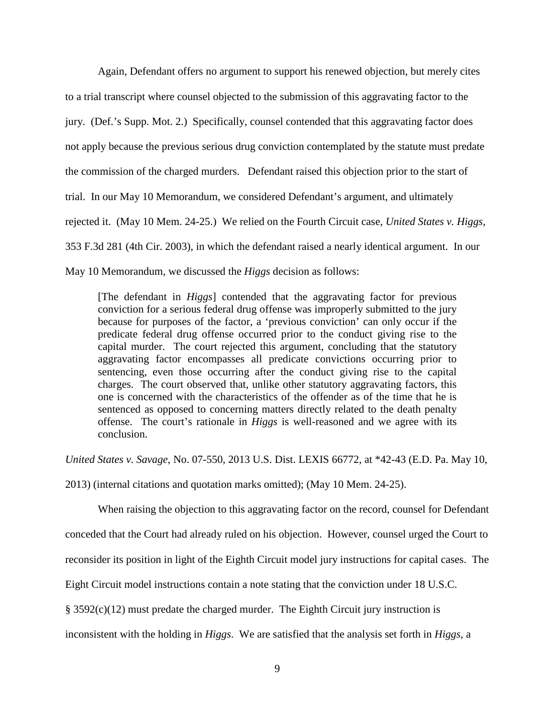Again, Defendant offers no argument to support his renewed objection, but merely cites to a trial transcript where counsel objected to the submission of this aggravating factor to the jury. (Def.'s Supp. Mot. 2.) Specifically, counsel contended that this aggravating factor does not apply because the previous serious drug conviction contemplated by the statute must predate the commission of the charged murders. Defendant raised this objection prior to the start of trial. In our May 10 Memorandum, we considered Defendant's argument, and ultimately rejected it. (May 10 Mem. 24-25.) We relied on the Fourth Circuit case, *United States v. Higgs*, 353 F.3d 281 (4th Cir. 2003), in which the defendant raised a nearly identical argument. In our May 10 Memorandum, we discussed the *Higgs* decision as follows:

[The defendant in *Higgs*] contended that the aggravating factor for previous conviction for a serious federal drug offense was improperly submitted to the jury because for purposes of the factor, a 'previous conviction' can only occur if the predicate federal drug offense occurred prior to the conduct giving rise to the capital murder. The court rejected this argument, concluding that the statutory aggravating factor encompasses all predicate convictions occurring prior to sentencing, even those occurring after the conduct giving rise to the capital charges. The court observed that, unlike other statutory aggravating factors, this one is concerned with the characteristics of the offender as of the time that he is sentenced as opposed to concerning matters directly related to the death penalty offense. The court's rationale in *Higgs* is well-reasoned and we agree with its conclusion.

*United States v. Savage*, No. 07-550, 2013 U.S. Dist. LEXIS 66772, at \*42-43 (E.D. Pa. May 10,

2013) (internal citations and quotation marks omitted); (May 10 Mem. 24-25).

When raising the objection to this aggravating factor on the record, counsel for Defendant conceded that the Court had already ruled on his objection. However, counsel urged the Court to reconsider its position in light of the Eighth Circuit model jury instructions for capital cases. The Eight Circuit model instructions contain a note stating that the conviction under 18 U.S.C. § 3592(c)(12) must predate the charged murder. The Eighth Circuit jury instruction is inconsistent with the holding in *Higgs*. We are satisfied that the analysis set forth in *Higgs*, a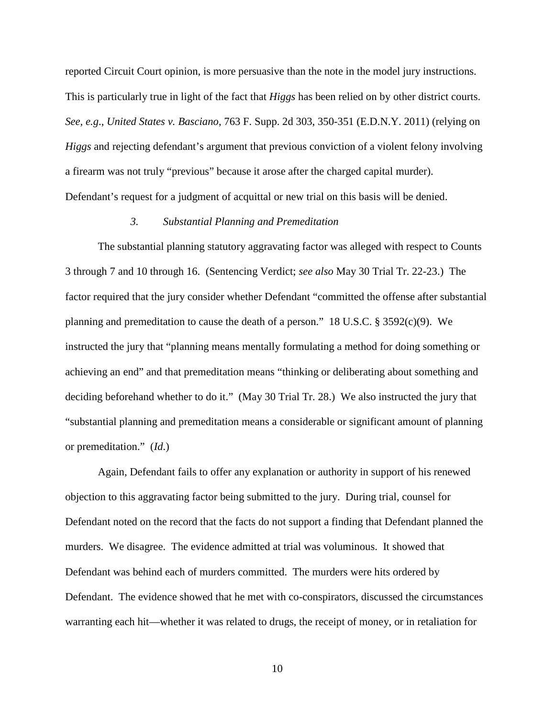reported Circuit Court opinion, is more persuasive than the note in the model jury instructions. This is particularly true in light of the fact that *Higgs* has been relied on by other district courts. *See, e.g*., *United States v. Basciano*, 763 F. Supp. 2d 303, 350-351 (E.D.N.Y. 2011) (relying on *Higgs* and rejecting defendant's argument that previous conviction of a violent felony involving a firearm was not truly "previous" because it arose after the charged capital murder). Defendant's request for a judgment of acquittal or new trial on this basis will be denied.

## *3. Substantial Planning and Premeditation*

The substantial planning statutory aggravating factor was alleged with respect to Counts 3 through 7 and 10 through 16. (Sentencing Verdict; *see also* May 30 Trial Tr. 22-23.) The factor required that the jury consider whether Defendant "committed the offense after substantial planning and premeditation to cause the death of a person." 18 U.S.C. § 3592(c)(9). We instructed the jury that "planning means mentally formulating a method for doing something or achieving an end" and that premeditation means "thinking or deliberating about something and deciding beforehand whether to do it." (May 30 Trial Tr. 28.) We also instructed the jury that "substantial planning and premeditation means a considerable or significant amount of planning or premeditation." (*Id*.)

Again, Defendant fails to offer any explanation or authority in support of his renewed objection to this aggravating factor being submitted to the jury. During trial, counsel for Defendant noted on the record that the facts do not support a finding that Defendant planned the murders. We disagree. The evidence admitted at trial was voluminous. It showed that Defendant was behind each of murders committed. The murders were hits ordered by Defendant. The evidence showed that he met with co-conspirators, discussed the circumstances warranting each hit—whether it was related to drugs, the receipt of money, or in retaliation for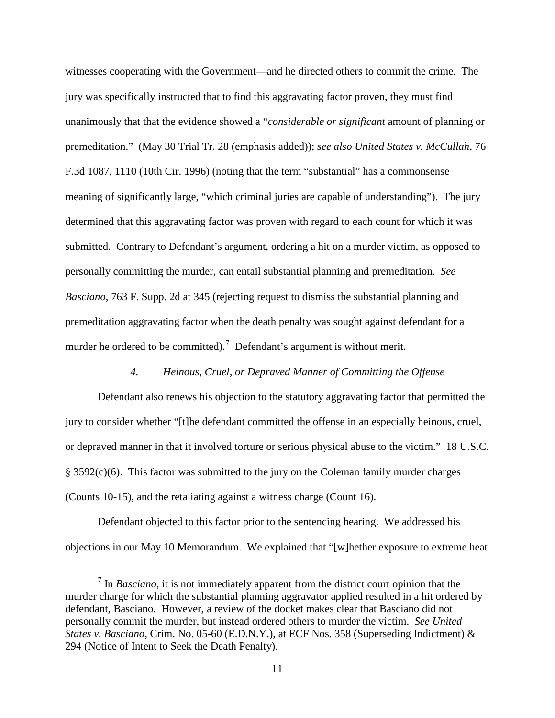witnesses cooperating with the Government—and he directed others to commit the crime. The jury was specifically instructed that to find this aggravating factor proven, they must find unanimously that that the evidence showed a "*considerable or significant* amount of planning or premeditation." (May 30 Trial Tr. 28 (emphasis added)); *see also United States v. McCullah*, 76 F.3d 1087, 1110 (10th Cir. 1996) (noting that the term "substantial" has a commonsense meaning of significantly large, "which criminal juries are capable of understanding"). The jury determined that this aggravating factor was proven with regard to each count for which it was submitted. Contrary to Defendant's argument, ordering a hit on a murder victim, as opposed to personally committing the murder, can entail substantial planning and premeditation. *See Basciano*, 763 F. Supp. 2d at 345 (rejecting request to dismiss the substantial planning and premeditation aggravating factor when the death penalty was sought against defendant for a murder he ordered to be committed).<sup>[7](#page-10-0)</sup> Defendant's argument is without merit.

## *4. Heinous, Cruel, or Depraved Manner of Committing the Offense*

Defendant also renews his objection to the statutory aggravating factor that permitted the jury to consider whether "[t]he defendant committed the offense in an especially heinous, cruel, or depraved manner in that it involved torture or serious physical abuse to the victim." 18 U.S.C. § 3592(c)(6). This factor was submitted to the jury on the Coleman family murder charges (Counts 10-15), and the retaliating against a witness charge (Count 16).

Defendant objected to this factor prior to the sentencing hearing. We addressed his objections in our May 10 Memorandum. We explained that "[w]hether exposure to extreme heat

 $\overline{a}$ 

<span id="page-10-0"></span><sup>7</sup> In *Basciano*, it is not immediately apparent from the district court opinion that the murder charge for which the substantial planning aggravator applied resulted in a hit ordered by defendant, Basciano. However, a review of the docket makes clear that Basciano did not personally commit the murder, but instead ordered others to murder the victim. *See United States v. Basciano*, Crim. No. 05-60 (E.D.N.Y.), at ECF Nos. 358 (Superseding Indictment) & 294 (Notice of Intent to Seek the Death Penalty).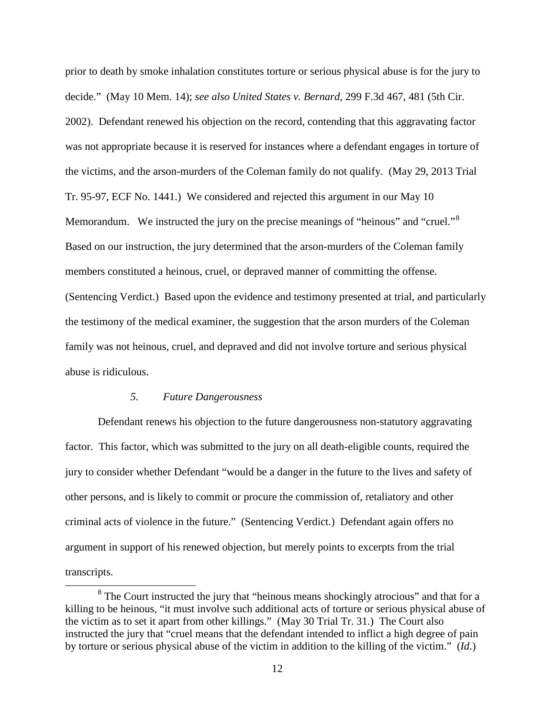prior to death by smoke inhalation constitutes torture or serious physical abuse is for the jury to decide." (May 10 Mem. 14); *see also United States v. Bernard*, 299 F.3d 467, 481 (5th Cir. 2002). Defendant renewed his objection on the record, contending that this aggravating factor was not appropriate because it is reserved for instances where a defendant engages in torture of the victims, and the arson-murders of the Coleman family do not qualify. (May 29, 2013 Trial Tr. 95-97, ECF No. 1441.) We considered and rejected this argument in our May 10 Memorandum. We instructed the jury on the precise meanings of "heinous" and "cruel."<sup>[8](#page-11-0)</sup> Based on our instruction, the jury determined that the arson-murders of the Coleman family members constituted a heinous, cruel, or depraved manner of committing the offense. (Sentencing Verdict.) Based upon the evidence and testimony presented at trial, and particularly the testimony of the medical examiner, the suggestion that the arson murders of the Coleman family was not heinous, cruel, and depraved and did not involve torture and serious physical abuse is ridiculous.

## *5. Future Dangerousness*

 $\overline{a}$ 

Defendant renews his objection to the future dangerousness non-statutory aggravating factor. This factor, which was submitted to the jury on all death-eligible counts, required the jury to consider whether Defendant "would be a danger in the future to the lives and safety of other persons, and is likely to commit or procure the commission of, retaliatory and other criminal acts of violence in the future." (Sentencing Verdict.) Defendant again offers no argument in support of his renewed objection, but merely points to excerpts from the trial transcripts.

<span id="page-11-0"></span><sup>&</sup>lt;sup>8</sup> The Court instructed the jury that "heinous means shockingly atrocious" and that for a killing to be heinous, "it must involve such additional acts of torture or serious physical abuse of the victim as to set it apart from other killings." (May 30 Trial Tr. 31.) The Court also instructed the jury that "cruel means that the defendant intended to inflict a high degree of pain by torture or serious physical abuse of the victim in addition to the killing of the victim." (*Id*.)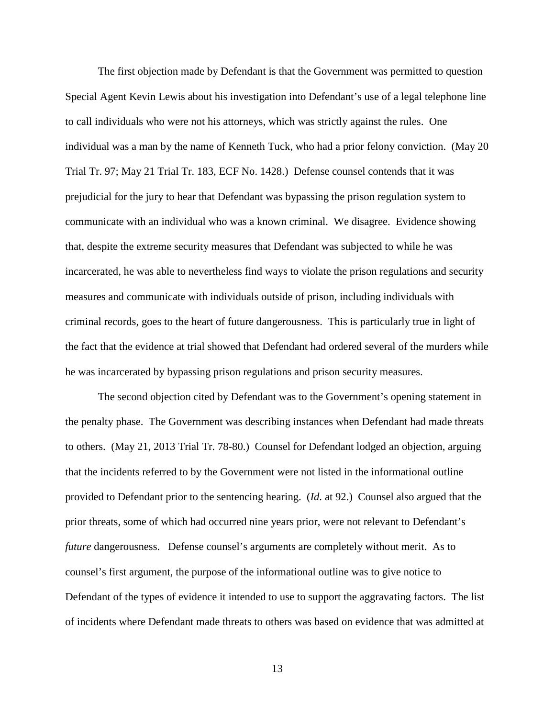The first objection made by Defendant is that the Government was permitted to question Special Agent Kevin Lewis about his investigation into Defendant's use of a legal telephone line to call individuals who were not his attorneys, which was strictly against the rules. One individual was a man by the name of Kenneth Tuck, who had a prior felony conviction. (May 20 Trial Tr. 97; May 21 Trial Tr. 183, ECF No. 1428.) Defense counsel contends that it was prejudicial for the jury to hear that Defendant was bypassing the prison regulation system to communicate with an individual who was a known criminal. We disagree. Evidence showing that, despite the extreme security measures that Defendant was subjected to while he was incarcerated, he was able to nevertheless find ways to violate the prison regulations and security measures and communicate with individuals outside of prison, including individuals with criminal records, goes to the heart of future dangerousness. This is particularly true in light of the fact that the evidence at trial showed that Defendant had ordered several of the murders while he was incarcerated by bypassing prison regulations and prison security measures.

The second objection cited by Defendant was to the Government's opening statement in the penalty phase. The Government was describing instances when Defendant had made threats to others. (May 21, 2013 Trial Tr. 78-80.) Counsel for Defendant lodged an objection, arguing that the incidents referred to by the Government were not listed in the informational outline provided to Defendant prior to the sentencing hearing. (*Id*. at 92.) Counsel also argued that the prior threats, some of which had occurred nine years prior, were not relevant to Defendant's *future* dangerousness. Defense counsel's arguments are completely without merit. As to counsel's first argument, the purpose of the informational outline was to give notice to Defendant of the types of evidence it intended to use to support the aggravating factors. The list of incidents where Defendant made threats to others was based on evidence that was admitted at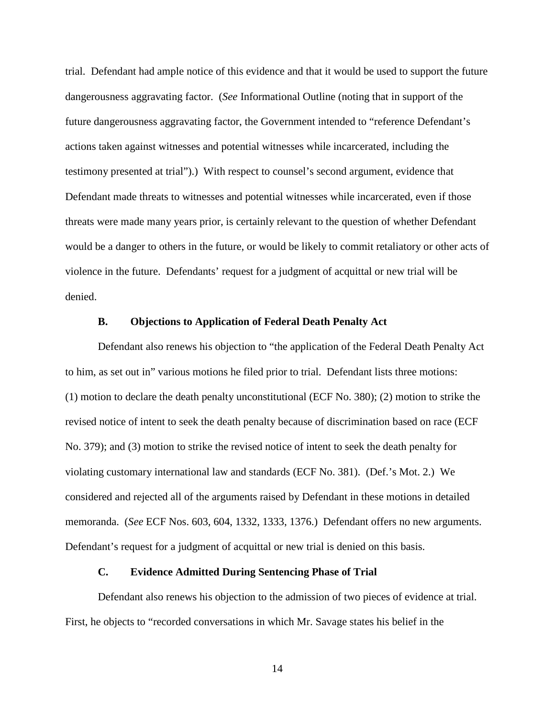trial. Defendant had ample notice of this evidence and that it would be used to support the future dangerousness aggravating factor. (*See* Informational Outline (noting that in support of the future dangerousness aggravating factor, the Government intended to "reference Defendant's actions taken against witnesses and potential witnesses while incarcerated, including the testimony presented at trial").) With respect to counsel's second argument, evidence that Defendant made threats to witnesses and potential witnesses while incarcerated, even if those threats were made many years prior, is certainly relevant to the question of whether Defendant would be a danger to others in the future, or would be likely to commit retaliatory or other acts of violence in the future. Defendants' request for a judgment of acquittal or new trial will be denied.

## **B. Objections to Application of Federal Death Penalty Act**

Defendant also renews his objection to "the application of the Federal Death Penalty Act to him, as set out in" various motions he filed prior to trial. Defendant lists three motions: (1) motion to declare the death penalty unconstitutional (ECF No. 380); (2) motion to strike the revised notice of intent to seek the death penalty because of discrimination based on race (ECF No. 379); and (3) motion to strike the revised notice of intent to seek the death penalty for violating customary international law and standards (ECF No. 381). (Def.'s Mot. 2.) We considered and rejected all of the arguments raised by Defendant in these motions in detailed memoranda. (*See* ECF Nos. 603, 604, 1332, 1333, 1376.) Defendant offers no new arguments. Defendant's request for a judgment of acquittal or new trial is denied on this basis.

#### **C. Evidence Admitted During Sentencing Phase of Trial**

Defendant also renews his objection to the admission of two pieces of evidence at trial. First, he objects to "recorded conversations in which Mr. Savage states his belief in the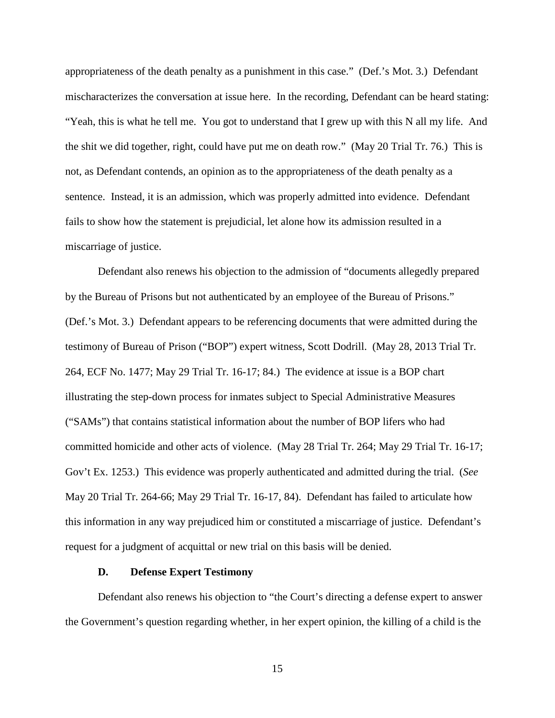appropriateness of the death penalty as a punishment in this case." (Def.'s Mot. 3.) Defendant mischaracterizes the conversation at issue here. In the recording, Defendant can be heard stating: "Yeah, this is what he tell me. You got to understand that I grew up with this N all my life. And the shit we did together, right, could have put me on death row." (May 20 Trial Tr. 76.) This is not, as Defendant contends, an opinion as to the appropriateness of the death penalty as a sentence. Instead, it is an admission, which was properly admitted into evidence. Defendant fails to show how the statement is prejudicial, let alone how its admission resulted in a miscarriage of justice.

Defendant also renews his objection to the admission of "documents allegedly prepared by the Bureau of Prisons but not authenticated by an employee of the Bureau of Prisons." (Def.'s Mot. 3.) Defendant appears to be referencing documents that were admitted during the testimony of Bureau of Prison ("BOP") expert witness, Scott Dodrill. (May 28, 2013 Trial Tr. 264, ECF No. 1477; May 29 Trial Tr. 16-17; 84.) The evidence at issue is a BOP chart illustrating the step-down process for inmates subject to Special Administrative Measures ("SAMs") that contains statistical information about the number of BOP lifers who had committed homicide and other acts of violence. (May 28 Trial Tr. 264; May 29 Trial Tr. 16-17; Gov't Ex. 1253.) This evidence was properly authenticated and admitted during the trial. (*See* May 20 Trial Tr. 264-66; May 29 Trial Tr. 16-17, 84). Defendant has failed to articulate how this information in any way prejudiced him or constituted a miscarriage of justice. Defendant's request for a judgment of acquittal or new trial on this basis will be denied.

#### **D. Defense Expert Testimony**

Defendant also renews his objection to "the Court's directing a defense expert to answer the Government's question regarding whether, in her expert opinion, the killing of a child is the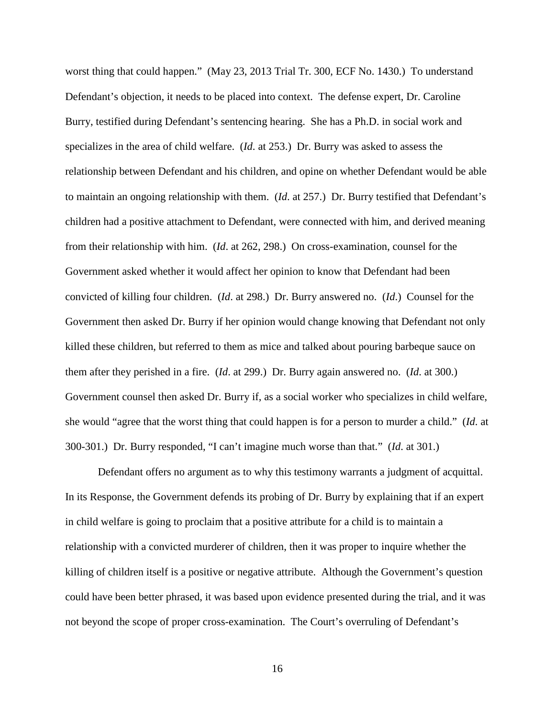worst thing that could happen." (May 23, 2013 Trial Tr. 300, ECF No. 1430.) To understand Defendant's objection, it needs to be placed into context. The defense expert, Dr. Caroline Burry, testified during Defendant's sentencing hearing. She has a Ph.D. in social work and specializes in the area of child welfare. (*Id*. at 253.) Dr. Burry was asked to assess the relationship between Defendant and his children, and opine on whether Defendant would be able to maintain an ongoing relationship with them. (*Id*. at 257.) Dr. Burry testified that Defendant's children had a positive attachment to Defendant, were connected with him, and derived meaning from their relationship with him. (*Id*. at 262, 298.) On cross-examination, counsel for the Government asked whether it would affect her opinion to know that Defendant had been convicted of killing four children. (*Id*. at 298.) Dr. Burry answered no. (*Id*.) Counsel for the Government then asked Dr. Burry if her opinion would change knowing that Defendant not only killed these children, but referred to them as mice and talked about pouring barbeque sauce on them after they perished in a fire. (*Id*. at 299.) Dr. Burry again answered no. (*Id*. at 300.) Government counsel then asked Dr. Burry if, as a social worker who specializes in child welfare, she would "agree that the worst thing that could happen is for a person to murder a child." (*Id*. at 300-301.) Dr. Burry responded, "I can't imagine much worse than that." (*Id*. at 301.)

Defendant offers no argument as to why this testimony warrants a judgment of acquittal. In its Response, the Government defends its probing of Dr. Burry by explaining that if an expert in child welfare is going to proclaim that a positive attribute for a child is to maintain a relationship with a convicted murderer of children, then it was proper to inquire whether the killing of children itself is a positive or negative attribute. Although the Government's question could have been better phrased, it was based upon evidence presented during the trial, and it was not beyond the scope of proper cross-examination. The Court's overruling of Defendant's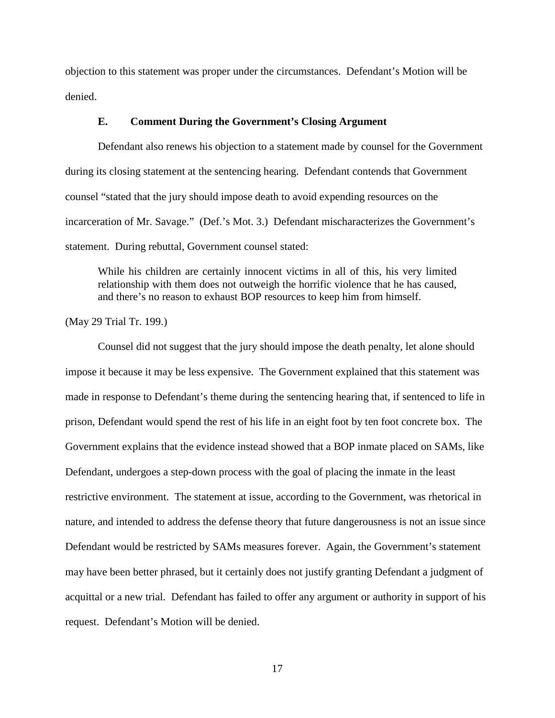objection to this statement was proper under the circumstances. Defendant's Motion will be denied.

## **E. Comment During the Government's Closing Argument**

Defendant also renews his objection to a statement made by counsel for the Government during its closing statement at the sentencing hearing. Defendant contends that Government counsel "stated that the jury should impose death to avoid expending resources on the incarceration of Mr. Savage." (Def.'s Mot. 3.) Defendant mischaracterizes the Government's statement. During rebuttal, Government counsel stated:

While his children are certainly innocent victims in all of this, his very limited relationship with them does not outweigh the horrific violence that he has caused, and there's no reason to exhaust BOP resources to keep him from himself.

(May 29 Trial Tr. 199.)

Counsel did not suggest that the jury should impose the death penalty, let alone should impose it because it may be less expensive. The Government explained that this statement was made in response to Defendant's theme during the sentencing hearing that, if sentenced to life in prison, Defendant would spend the rest of his life in an eight foot by ten foot concrete box. The Government explains that the evidence instead showed that a BOP inmate placed on SAMs, like Defendant, undergoes a step-down process with the goal of placing the inmate in the least restrictive environment. The statement at issue, according to the Government, was rhetorical in nature, and intended to address the defense theory that future dangerousness is not an issue since Defendant would be restricted by SAMs measures forever. Again, the Government's statement may have been better phrased, but it certainly does not justify granting Defendant a judgment of acquittal or a new trial. Defendant has failed to offer any argument or authority in support of his request. Defendant's Motion will be denied.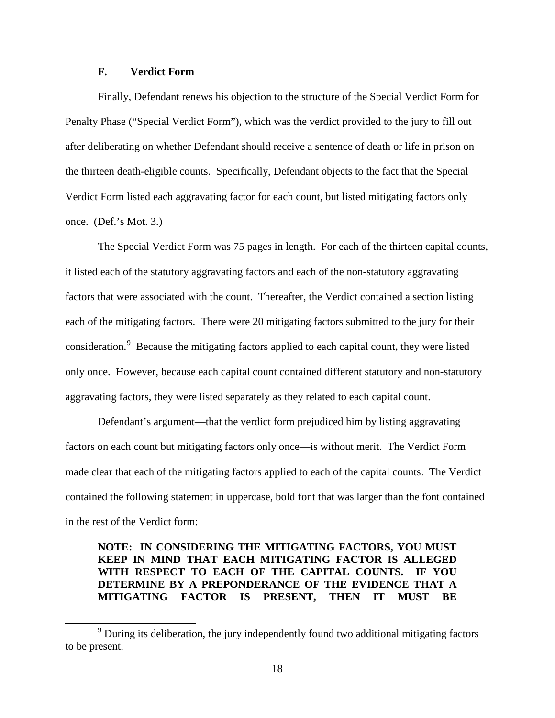## **F. Verdict Form**

 $\overline{a}$ 

Finally, Defendant renews his objection to the structure of the Special Verdict Form for Penalty Phase ("Special Verdict Form"), which was the verdict provided to the jury to fill out after deliberating on whether Defendant should receive a sentence of death or life in prison on the thirteen death-eligible counts. Specifically, Defendant objects to the fact that the Special Verdict Form listed each aggravating factor for each count, but listed mitigating factors only once. (Def.'s Mot. 3.)

The Special Verdict Form was 75 pages in length. For each of the thirteen capital counts, it listed each of the statutory aggravating factors and each of the non-statutory aggravating factors that were associated with the count. Thereafter, the Verdict contained a section listing each of the mitigating factors. There were 20 mitigating factors submitted to the jury for their consideration.<sup>[9](#page-17-0)</sup> Because the mitigating factors applied to each capital count, they were listed only once. However, because each capital count contained different statutory and non-statutory aggravating factors, they were listed separately as they related to each capital count.

Defendant's argument—that the verdict form prejudiced him by listing aggravating factors on each count but mitigating factors only once—is without merit. The Verdict Form made clear that each of the mitigating factors applied to each of the capital counts. The Verdict contained the following statement in uppercase, bold font that was larger than the font contained in the rest of the Verdict form:

# **NOTE: IN CONSIDERING THE MITIGATING FACTORS, YOU MUST KEEP IN MIND THAT EACH MITIGATING FACTOR IS ALLEGED WITH RESPECT TO EACH OF THE CAPITAL COUNTS. IF YOU DETERMINE BY A PREPONDERANCE OF THE EVIDENCE THAT A MITIGATING FACTOR IS PRESENT, THEN IT MUST BE**

<span id="page-17-0"></span><sup>&</sup>lt;sup>9</sup> During its deliberation, the jury independently found two additional mitigating factors to be present.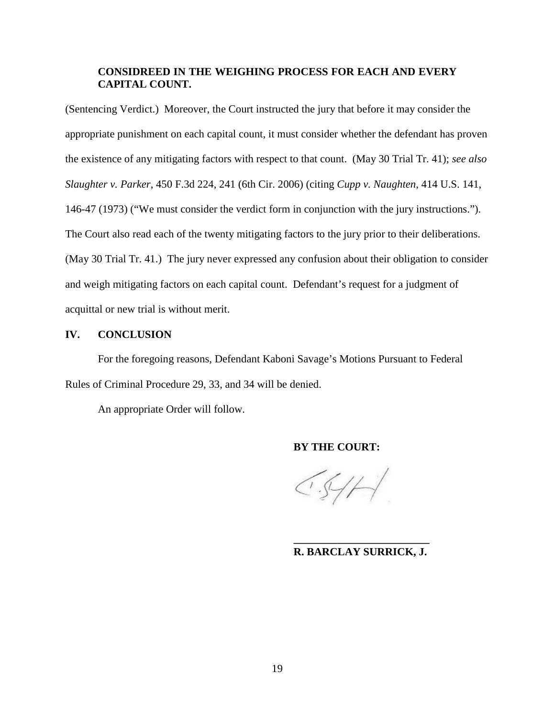# **CONSIDREED IN THE WEIGHING PROCESS FOR EACH AND EVERY CAPITAL COUNT.**

(Sentencing Verdict.) Moreover, the Court instructed the jury that before it may consider the appropriate punishment on each capital count, it must consider whether the defendant has proven the existence of any mitigating factors with respect to that count. (May 30 Trial Tr. 41); *see also Slaughter v. Parker*, 450 F.3d 224, 241 (6th Cir. 2006) (citing *Cupp v. Naughten*, 414 U.S. 141, 146-47 (1973) ("We must consider the verdict form in conjunction with the jury instructions."). The Court also read each of the twenty mitigating factors to the jury prior to their deliberations. (May 30 Trial Tr. 41.) The jury never expressed any confusion about their obligation to consider and weigh mitigating factors on each capital count. Defendant's request for a judgment of acquittal or new trial is without merit.

# **IV. CONCLUSION**

For the foregoing reasons, Defendant Kaboni Savage's Motions Pursuant to Federal Rules of Criminal Procedure 29, 33, and 34 will be denied.

An appropriate Order will follow.

**BY THE COURT:** 

 $CS/H$ 

## **\_\_\_\_\_\_\_\_\_\_\_\_\_\_\_\_\_\_\_\_\_\_\_\_\_ R. BARCLAY SURRICK, J.**